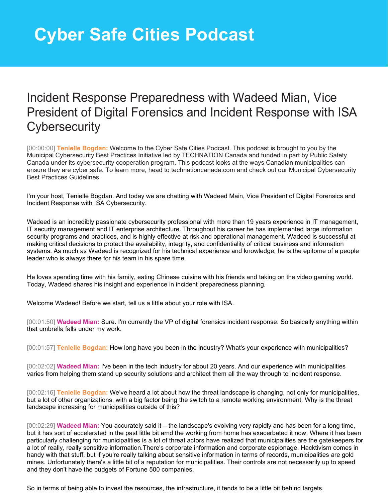## Incident Response Preparedness with Wadeed Mian, Vice President of Digital Forensics and Incident Response with ISA **Cybersecurity**

[00:00:00] **Tenielle Bogdan:** Welcome to the Cyber Safe Cities Podcast. This podcast is brought to you by the Municipal Cybersecurity Best Practices Initiative led by TECHNATION Canada and funded in part by Public Safety Canada under its cybersecurity cooperation program. This podcast looks at the ways Canadian municipalities can ensure they are cyber safe. To learn more, head to technationcanada.com and check out our Municipal Cybersecurity Best Practices Guidelines.

I'm your host, Tenielle Bogdan. And today we are chatting with Wadeed Main, Vice President of Digital Forensics and Incident Response with ISA Cybersecurity.

Wadeed is an incredibly passionate cybersecurity professional with more than 19 years experience in IT management, IT security management and IT enterprise architecture. Throughout his career he has implemented large information security programs and practices, and is highly effective at risk and operational management. Wadeed is successful at making critical decisions to protect the availability, integrity, and confidentiality of critical business and information systems. As much as Wadeed is recognized for his technical experience and knowledge, he is the epitome of a people leader who is always there for his team in his spare time.

He loves spending time with his family, eating Chinese cuisine with his friends and taking on the video gaming world. Today, Wadeed shares his insight and experience in incident preparedness planning.

Welcome Wadeed! Before we start, tell us a little about your role with ISA.

[00:01:50] **Wadeed Mian:** Sure. I'm currently the VP of digital forensics incident response. So basically anything within that umbrella falls under my work.

[00:01:57] **Tenielle Bogdan:** How long have you been in the industry? What's your experience with municipalities?

[00:02:02] **Wadeed Mian:** I've been in the tech industry for about 20 years. And our experience with municipalities varies from helping them stand up security solutions and architect them all the way through to incident response.

[00:02:16] **Tenielle Bogdan:** We've heard a lot about how the threat landscape is changing, not only for municipalities, but a lot of other organizations, with a big factor being the switch to a remote working environment. Why is the threat landscape increasing for municipalities outside of this?

[00:02:29] **Wadeed Mian:** You accurately said it – the landscape's evolving very rapidly and has been for a long time, but it has sort of accelerated in the past little bit amd the working from home has exacerbated it now. Where it has been particularly challenging for municipalities is a lot of threat actors have realized that municipalities are the gatekeepers for a lot of really, really sensitive information.There's corporate information and corporate espionage. Hacktivism comes in handy with that stuff, but if you're really talking about sensitive information in terms of records, municipalities are gold mines. Unfortunately there's a little bit of a reputation for municipalities. Their controls are not necessarily up to speed and they don't have the budgets of Fortune 500 companies.

So in terms of being able to invest the resources, the infrastructure, it tends to be a little bit behind targets.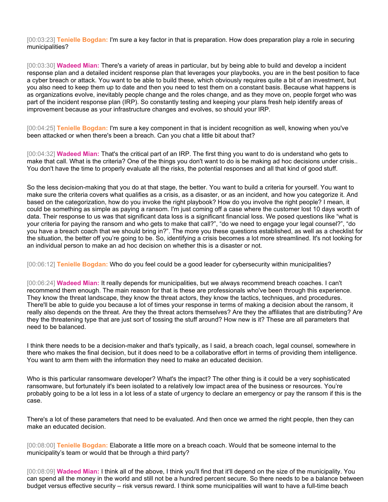[00:03:23] **Tenielle Bogdan:** I'm sure a key factor in that is preparation. How does preparation play a role in securing municipalities?

[00:03:30] **Wadeed Mian:** There's a variety of areas in particular, but by being able to build and develop a incident response plan and a detailed incident response plan that leverages your playbooks, you are in the best position to face a cyber breach or attack. You want to be able to build these, which obviously requires quite a bit of an investment, but you also need to keep them up to date and then you need to test them on a constant basis. Because what happens is as organizations evolve, inevitably people change and the roles change, and as they move on, people forget who was part of the incident response plan (IRP). So constantly testing and keeping your plans fresh help identify areas of improvement because as your infrastructure changes and evolves, so should your IRP.

[00:04:25] **Tenielle Bogdan:** I'm sure a key component in that is incident recognition as well, knowing when you've been attacked or when there's been a breach. Can you chat a little bit about that?

[00:04:32] **Wadeed Mian:** That's the critical part of an IRP. The first thing you want to do is understand who gets to make that call. What is the criteria? One of the things you don't want to do is be making ad hoc decisions under crisis.. You don't have the time to properly evaluate all the risks, the potential responses and all that kind of good stuff.

So the less decision-making that you do at that stage, the better. You want to build a criteria for yourself. You want to make sure the criteria covers what qualifies as a crisis, as a disaster, or as an incident, and how you categorize it. And based on the categorization, how do you invoke the right playbook? How do you involve the right people? I mean, it could be something as simple as paying a ransom. I'm just coming off a case where the customer lost 10 days worth of data. Their response to us was that significant data loss is a significant financial loss. We posed questions like "what is your criteria for paying the ransom and who gets to make that call?", "do we need to engage your legal counsel?", "do you have a breach coach that we should bring in?". The more you these questions established, as well as a checklist for the situation, the better off you're going to be. So, identifying a crisis becomes a lot more streamlined. It's not looking for an individual person to make an ad hoc decision on whether this is a disaster or not.

[00:06:12] **Tenielle Bogdan:** Who do you feel could be a good leader for cybersecurity within municipalities?

[00:06:24] **Wadeed Mian:** It really depends for municipalities, but we always recommend breach coaches. I can't recommend them enough. The main reason for that is these are professionals who've been through this experience. They know the threat landscape, they know the threat actors, they know the tactics, techniques, and procedures. There'll be able to guide you because a lot of times your response in terms of making a decision about the ransom, it really also depends on the threat. Are they the threat actors themselves? Are they the affiliates that are distributing? Are they the threatening type that are just sort of tossing the stuff around? How new is it? These are all parameters that need to be balanced.

I think there needs to be a decision-maker and that's typically, as I said, a breach coach, legal counsel, somewhere in there who makes the final decision, but it does need to be a collaborative effort in terms of providing them intelligence. You want to arm them with the information they need to make an educated decision.

Who is this particular ransomware developer? What's the impact? The other thing is it could be a very sophisticated ransomware, but fortunately it's been isolated to a relatively low impact area of the business or resources. You're probably going to be a lot less in a lot less of a state of urgency to declare an emergency or pay the ransom if this is the case.

There's a lot of these parameters that need to be evaluated. And then once we armed the right people, then they can make an educated decision.

[00:08:00] **Tenielle Bogdan:** Elaborate a little more on a breach coach. Would that be someone internal to the municipality's team or would that be through a third party?

[00:08:09] **Wadeed Mian:** I think all of the above, I think you'll find that it'll depend on the size of the municipality. You can spend all the money in the world and still not be a hundred percent secure. So there needs to be a balance between budget versus effective security – risk versus reward. I think some municipalities will want to have a full-time beach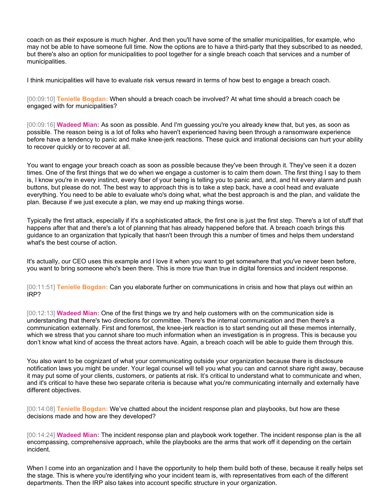coach on as their exposure is much higher. And then you'll have some of the smaller municipalities, for example, who may not be able to have someone full time. Now the options are to have a third-party that they subscribed to as needed, but there's also an option for municipalities to pool together for a single breach coach that services and a number of municipalities.

I think municipalities will have to evaluate risk versus reward in terms of how best to engage a breach coach.

[00:09:10] **Tenielle Bogdan:** When should a breach coach be involved? At what time should a breach coach be engaged with for municipalities?

[00:09:16] **Wadeed Mian:** As soon as possible. And I'm guessing you're you already knew that, but yes, as soon as possible. The reason being is a lot of folks who haven't experienced having been through a ransomware experience before have a tendency to panic and make knee-jerk reactions. These quick and irrational decisions can hurt your ability to recover quickly or to recover at all.

You want to engage your breach coach as soon as possible because they've been through it. They've seen it a dozen times. One of the first things that we do when we engage a customer is to calm them down. The first thing I say to them is, I know you're in every instinct, every fiber of your being is telling you to panic and, and, and hit every alarm and push buttons, but please do not. The best way to approach this is to take a step back, have a cool head and evaluate everything. You need to be able to evaluate who's doing what, what the best approach is and the plan, and validate the plan. Because if we just execute a plan, we may end up making things worse.

Typically the first attack, especially if it's a sophisticated attack, the first one is just the first step. There's a lot of stuff that happens after that and there's a lot of planning that has already happened before that. A breach coach brings this guidance to an organization that typically that hasn't been through this a number of times and helps them understand what's the best course of action.

It's actually, our CEO uses this example and I love it when you want to get somewhere that you've never been before, you want to bring someone who's been there. This is more true than true in digital forensics and incident response.

[00:11:51] **Tenielle Bogdan:** Can you elaborate further on communications in crisis and how that plays out within an IRP?

[00:12:13] **Wadeed Mian:** One of the first things we try and help customers with on the communication side is understanding that there's two directions for committee. There's the internal communication and then there's a communication externally. First and foremost, the knee-jerk reaction is to start sending out all these memos internally, which we stress that you cannot share too much information when an investigation is in progress. This is because you don't know what kind of access the threat actors have. Again, a breach coach will be able to guide them through this.

You also want to be cognizant of what your communicating outside your organization because there is disclosure notification laws you might be under. Your legal counsel will tell you what you can and cannot share right away, because it may put some of your clients, customers, or patients at risk. It's critical to understand what to communicate and when, and it's critical to have these two separate criteria is because what you're communicating internally and externally have different objectives.

[00:14:08] **Tenielle Bogdan:** We've chatted about the incident response plan and playbooks, but how are these decisions made and how are they developed?

[00:14:24] **Wadeed Mian:** The incident response plan and playbook work together. The incident response plan is the all encompassing, comprehensive approach, while the playbooks are the arms that work off it depending on the certain incident.

When I come into an organization and I have the opportunity to help them build both of these, because it really helps set the stage. This is where you're identifying who your incident team is, with representatives from each of the different departments. Then the IRP also takes into account specific structure in your organization.